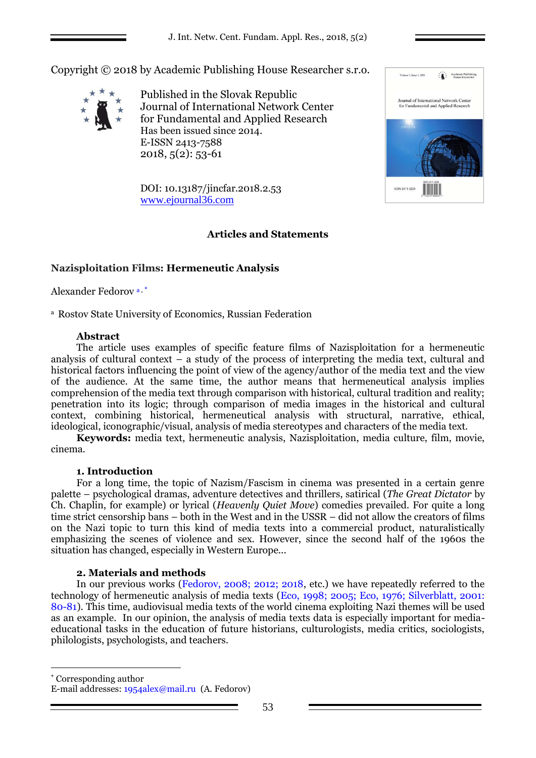Volume 1, Issue 1, 2015

ISSN 2411-3239

Journal of International Network Center<br>for Fundamental and Applied Research

Academic Publishir

Copyright © 2018 by Academic Publishing House Researcher s.r.o.



Published in the Slovak Republic Journal of International Network Center for Fundamental and Applied Research Has been issued since 2014. E-ISSN 2413-7588 2018, 5(2): 53-61

DOI: 10.13187/jincfar.2018.2.53 [www.ejournal36.com](http://www.ejournal8.com/)

# **Articles and Statements**

# **Nazisploitation Films: Hermeneutic Analysis**

Alexander Fedorov<sup>a,\*</sup>

<sup>a</sup> Rostov State University of Economics, Russian Federation

# **Abstract**

The article uses examples of specific feature films of Nazisploitation for a hermeneutic analysis of cultural context – a study of the process of interpreting the media text, cultural and historical factors influencing the point of view of the agency/author of the media text and the view of the audience. At the same time, the author means that hermeneutical analysis implies comprehension of the media text through comparison with historical, cultural tradition and reality; penetration into its logic; through comparison of media images in the historical and cultural context, combining historical, hermeneutical analysis with structural, narrative, ethical, ideological, iconographic/visual, analysis of media stereotypes and characters of the media text.

**Keywords:** media text, hermeneutic analysis, Nazisploitation, media culture, film, movie, cinema.

### **1. Introduction**

For a long time, the topic of Nazism/Fascism in cinema was presented in a certain genre palette – psychological dramas, adventure detectives and thrillers, satirical (*The Great Dictator* by Ch. Chaplin, for example) or lyrical (*Heavenly Quiet Move*) comedies prevailed. For quite a long time strict censorship bans – both in the West and in the USSR – did not allow the creators of films on the Nazi topic to turn this kind of media texts into a commercial product, naturalistically emphasizing the scenes of violence and sex. However, since the second half of the 1960s the situation has changed, especially in Western Europe...

### **2. Materials and methods**

In our previous works (Fedorov, 2008; 2012; 2018, etc.) we have repeatedly referred to the technology of hermeneutic analysis of media texts (Eco, 1998; 2005; Eco, 1976; Silverblatt, 2001: 80-81). This time, audiovisual media texts of the world cinema exploiting Nazi themes will be used as an example. In our opinion, the analysis of media texts data is especially important for mediaeducational tasks in the education of future historians, culturologists, media critics, sociologists, philologists, psychologists, and teachers.

 Corresponding author E-mail addresses: [1954alex@mail.ru](mailto:1954alex@mail.ru) (A. Fedorov)

1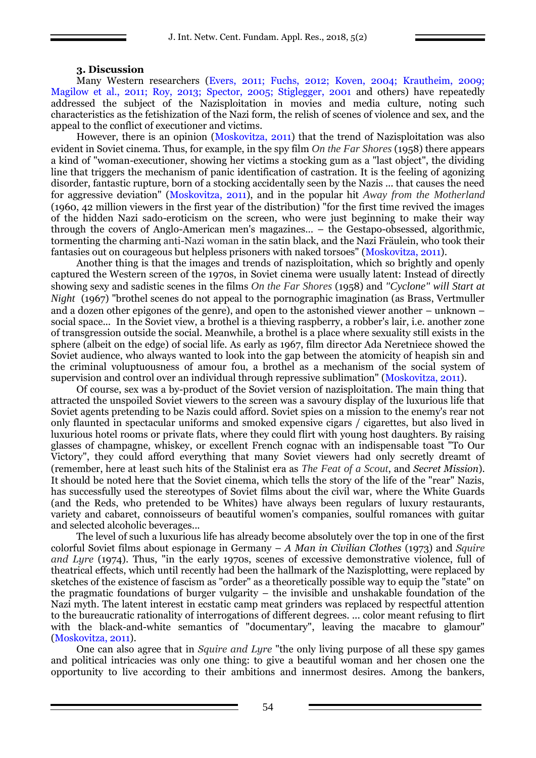### **3. Discussion**

Many Western researchers (Evers, 2011; Fuchs, 2012; Koven, 2004; Krautheim, 2009; Magilow et al., 2011; Roy, 2013; Spector, 2005; Stiglegger, 2001 and others) have repeatedly addressed the subject of the Nazisploitation in movies and media culture, noting such characteristics as the fetishization of the Nazi form, the relish of scenes of violence and sex, and the appeal to the conflict of executioner and victims.

However, there is an opinion (Moskovitza, 2011) that the trend of Nazisploitation was also evident in Soviet cinema. Thus, for example, in the spy film *On the Far Shores* (1958) there appears a kind of "woman-executioner, showing her victims a stocking gum as a "last object", the dividing line that triggers the mechanism of panic identification of castration. It is the feeling of agonizing disorder, fantastic rupture, born of a stocking accidentally seen by the Nazis ... that causes the need for aggressive deviation" (Moskovitza, 2011), and in the popular hit *Away from the Motherland* (1960, 42 million viewers in the first year of the distribution) "for the first time revived the images of the hidden Nazi sado-eroticism on the screen, who were just beginning to make their way through the covers of Anglo-American men's magazines… – the Gestapo-obsessed, algorithmic, tormenting the charming anti-Nazi woman in the satin black, and the Nazi Fräulein, who took their fantasies out on courageous but helpless prisoners with naked torsoes" (Moskovitza, 2011).

Another thing is that the images and trends of nazisploitation, which so brightly and openly captured the Western screen of the 1970s, in Soviet cinema were usually latent: Instead of directly showing sexy and sadistic scenes in the films *On the Far Shores* (1958) and *"Cyclone" will Start at Night* (1967) "brothel scenes do not appeal to the pornographic imagination (as Brass, Vertmuller and a dozen other epigones of the genre), and open to the astonished viewer another – unknown – social space... In the Soviet view, a brothel is a thieving raspberry, a robber's lair, i.e. another zone of transgression outside the social. Meanwhile, a brothel is a place where sexuality still exists in the sphere (albeit on the edge) of social life. As early as 1967, film director Ada Neretniece showed the Soviet audience, who always wanted to look into the gap between the atomicity of heapish sin and the criminal voluptuousness of amour fou, a brothel as a mechanism of the social system of supervision and control over an individual through repressive sublimation" (Moskovitza, 2011).

Of course, sex was a by-product of the Soviet version of nazisploitation. The main thing that attracted the unspoiled Soviet viewers to the screen was a savoury display of the luxurious life that Soviet agents pretending to be Nazis could afford. Soviet spies on a mission to the enemy's rear not only flaunted in spectacular uniforms and smoked expensive cigars / cigarettes, but also lived in luxurious hotel rooms or private flats, where they could flirt with young host daughters. By raising glasses of champagne, whiskey, or excellent French cognac with an indispensable toast "To Our Victory", they could afford everything that many Soviet viewers had only secretly dreamt of (remember, here at least such hits of the Stalinist era as *The Feat of a Scout*, and *Secret Mission*). It should be noted here that the Soviet cinema, which tells the story of the life of the "rear" Nazis, has successfully used the stereotypes of Soviet films about the civil war, where the White Guards (and the Reds, who pretended to be Whites) have always been regulars of luxury restaurants, variety and cabaret, connoisseurs of beautiful women's companies, soulful romances with guitar and selected alcoholic beverages...

The level of such a luxurious life has already become absolutely over the top in one of the first colorful Soviet films about espionage in Germany – *A Man in Civilian Clothes* (1973) and *Squire and Lyre* (1974). Thus, "in the early 1970s, scenes of excessive demonstrative violence, full of theatrical effects, which until recently had been the hallmark of the Nazisplotting, were replaced by sketches of the existence of fascism as "order" as a theoretically possible way to equip the "state" on the pragmatic foundations of burger vulgarity – the invisible and unshakable foundation of the Nazi myth. The latent interest in ecstatic camp meat grinders was replaced by respectful attention to the bureaucratic rationality of interrogations of different degrees. ... color meant refusing to flirt with the black-and-white semantics of "documentary", leaving the macabre to glamour" (Moskovitza, 2011).

One can also agree that in *Squire and Lyre* "the only living purpose of all these spy games and political intricacies was only one thing: to give a beautiful woman and her chosen one the opportunity to live according to their ambitions and innermost desires. Among the bankers,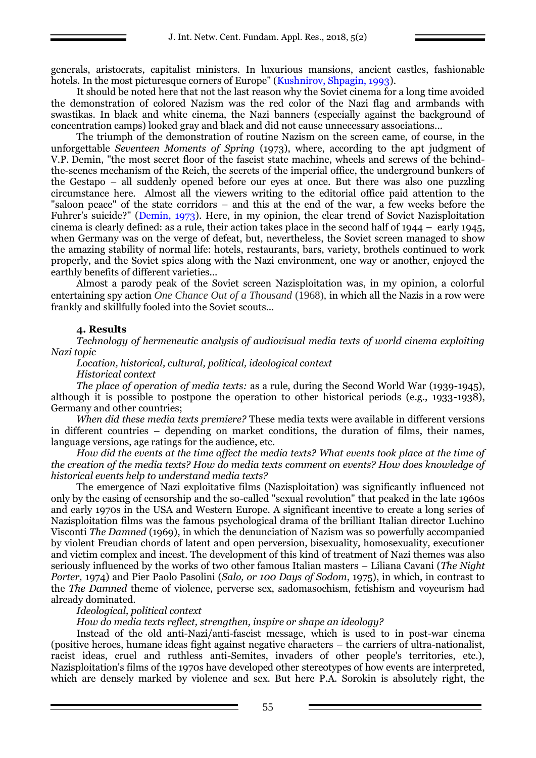generals, aristocrats, capitalist ministers. In luxurious mansions, ancient castles, fashionable hotels. In the most picturesque corners of Europe" (Kushnirov, Shpagin, 1993).

It should be noted here that not the last reason why the Soviet cinema for a long time avoided the demonstration of colored Nazism was the red color of the Nazi flag and armbands with swastikas. In black and white cinema, the Nazi banners (especially against the background of concentration camps) looked gray and black and did not cause unnecessary associations...

The triumph of the demonstration of routine Nazism on the screen came, of course, in the unforgettable *Seventeen Moments of Spring* (1973), where, according to the apt judgment of V.P. Demin, "the most secret floor of the fascist state machine, wheels and screws of the behindthe-scenes mechanism of the Reich, the secrets of the imperial office, the underground bunkers of the Gestapo – all suddenly opened before our eyes at once. But there was also one puzzling circumstance here. Almost all the viewers writing to the editorial office paid attention to the "saloon peace" of the state corridors – and this at the end of the war, a few weeks before the Fuhrer's suicide?" (Demin, 1973). Here, in my opinion, the clear trend of Soviet Nazisploitation cinema is clearly defined: as a rule, their action takes place in the second half of 1944 – early 1945, when Germany was on the verge of defeat, but, nevertheless, the Soviet screen managed to show the amazing stability of normal life: hotels, restaurants, bars, variety, brothels continued to work properly, and the Soviet spies along with the Nazi environment, one way or another, enjoyed the earthly benefits of different varieties...

Almost a parody peak of the Soviet screen Nazisploitation was, in my opinion, a colorful entertaining spy action *One Chance Out of a Thousand* (1968), in which all the Nazis in a row were frankly and skillfully fooled into the Soviet scouts...

# **4. Results**

*Technology of hermeneutic analysis of audiovisual media texts of world cinema exploiting Nazi topic*

*Location, historical, cultural, political, ideological context Historical context*

*The place of operation of media texts:* as a rule, during the Second World War (1939-1945), although it is possible to postpone the operation to other historical periods (e.g., 1933-1938), Germany and other countries;

*When did these media texts premiere?* These media texts were available in different versions in different countries – depending on market conditions, the duration of films, their names, language versions, age ratings for the audience, etc.

*How did the events at the time affect the media texts? What events took place at the time of the creation of the media texts? How do media texts comment on events? How does knowledge of historical events help to understand media texts?*

The emergence of Nazi exploitative films (Nazisploitation) was significantly influenced not only by the easing of censorship and the so-called "sexual revolution" that peaked in the late 1960s and early 1970s in the USA and Western Europe. A significant incentive to create a long series of Nazisploitation films was the famous psychological drama of the brilliant Italian director Luchino Visconti *The Damned* (1969), in which the denunciation of Nazism was so powerfully accompanied by violent Freudian chords of latent and open perversion, bisexuality, homosexuality, executioner and victim complex and incest. The development of this kind of treatment of Nazi themes was also seriously influenced by the works of two other famous Italian masters – Liliana Cavani (*The Night Porter,* 1974) and Pier Paolo Pasolini (*Salo, or 100 Days of Sodom*, 1975), in which, in contrast to the *The Damned* theme of violence, perverse sex, sadomasochism, fetishism and voyeurism had already dominated.

### *Ideological, political context*

*How do media texts reflect, strengthen, inspire or shape an ideology?*

Instead of the old anti-Nazi/anti-fascist message, which is used to in post-war cinema (positive heroes, humane ideas fight against negative characters – the carriers of ultra-nationalist, racist ideas, cruel and ruthless anti-Semites, invaders of other people's territories, etc.), Nazisploitation's films of the 1970s have developed other stereotypes of how events are interpreted, which are densely marked by violence and sex. But here P.A. Sorokin is absolutely right, the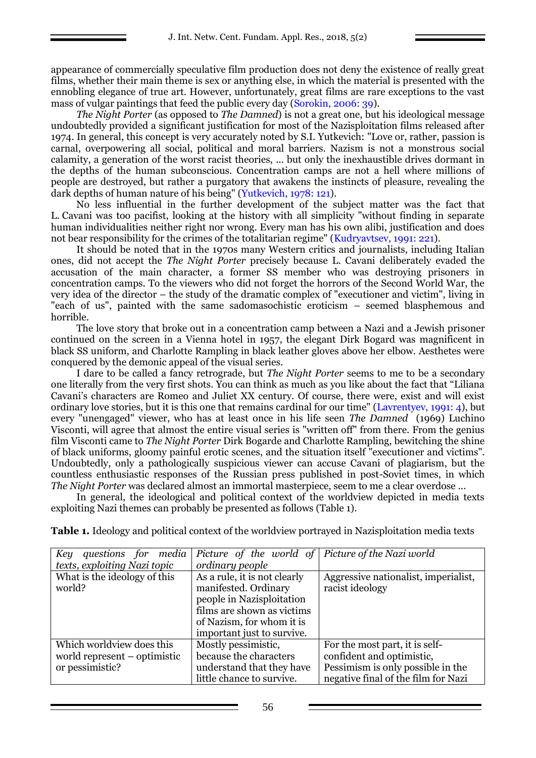appearance of commercially speculative film production does not deny the existence of really great films, whether their main theme is sex or anything else, in which the material is presented with the ennobling elegance of true art. However, unfortunately, great films are rare exceptions to the vast mass of vulgar paintings that feed the public every day (Sorokin, 2006: 39).

*The Night Porter* (as opposed to *The Damned*) is not a great one, but his ideological message undoubtedly provided a significant justification for most of the Nazisploitation films released after 1974. In general, this concept is very accurately noted by S.I. Yutkevich: "Love or, rather, passion is carnal, overpowering all social, political and moral barriers. Nazism is not a monstrous social calamity, a generation of the worst racist theories, ... but only the inexhaustible drives dormant in the depths of the human subconscious. Concentration camps are not a hell where millions of people are destroyed, but rather a purgatory that awakens the instincts of pleasure, revealing the dark depths of human nature of his being" (Yutkevich, 1978: 121).

No less influential in the further development of the subject matter was the fact that L. Cavani was too pacifist, looking at the history with all simplicity "without finding in separate human individualities neither right nor wrong. Every man has his own alibi, justification and does not bear responsibility for the crimes of the totalitarian regime" (Kudryavtsev, 1991: 221).

It should be noted that in the 1970s many Western critics and journalists, including Italian ones, did not accept the *The Night Porter* precisely because L. Cavani deliberately evaded the accusation of the main character, a former SS member who was destroying prisoners in concentration camps. To the viewers who did not forget the horrors of the Second World War, the very idea of the director – the study of the dramatic complex of "executioner and victim", living in "each of us", painted with the same sadomasochistic eroticism – seemed blasphemous and horrible.

The love story that broke out in a concentration camp between a Nazi and a Jewish prisoner continued on the screen in a Vienna hotel in 1957, the elegant Dirk Bogard was magnificent in black SS uniform, and Charlotte Rampling in black leather gloves above her elbow. Aesthetes were conquered by the demonic appeal of the visual series.

I dare to be called a fancy retrograde, but *The Night Porter* seems to me to be a secondary one literally from the very first shots. You can think as much as you like about the fact that "Liliana Cavani's characters are Romeo and Juliet XX century. Of course, there were, exist and will exist ordinary love stories, but it is this one that remains cardinal for our time" (Lavrentyev, 1991: 4), but every "unengaged" viewer, who has at least once in his life seen *The Damned* (1969) Luchino Visconti, will agree that almost the entire visual series is "written off" from there. From the genius film Visconti came to *The Night Porter* Dirk Bogarde and Charlotte Rampling, bewitching the shine of black uniforms, gloomy painful erotic scenes, and the situation itself "executioner and victims". Undoubtedly, only a pathologically suspicious viewer can accuse Cavani of plagiarism, but the countless enthusiastic responses of the Russian press published in post-Soviet times, in which *The Night Porter* was declared almost an immortal masterpiece, seem to me a clear overdose ...

In general, the ideological and political context of the worldview depicted in media texts exploiting Nazi themes can probably be presented as follows (Table 1).

| Key<br>questions for media   | Picture of the world of Picture of the Nazi world |                                      |
|------------------------------|---------------------------------------------------|--------------------------------------|
| texts, exploiting Nazi topic | ordinary people                                   |                                      |
| What is the ideology of this | As a rule, it is not clearly                      | Aggressive nationalist, imperialist, |
| world?                       | manifested. Ordinary                              | racist ideology                      |
|                              | people in Nazisploitation                         |                                      |
|                              | films are shown as victims                        |                                      |
|                              | of Nazism, for whom it is                         |                                      |
|                              | important just to survive.                        |                                      |
| Which worldview does this    | Mostly pessimistic,                               | For the most part, it is self-       |
| world represent – optimistic | because the characters                            | confident and optimistic,            |
| or pessimistic?              | understand that they have                         | Pessimism is only possible in the    |
|                              | little chance to survive.                         | negative final of the film for Nazi  |

**Table 1.** Ideology and political context of the worldview portrayed in Nazisploitation media texts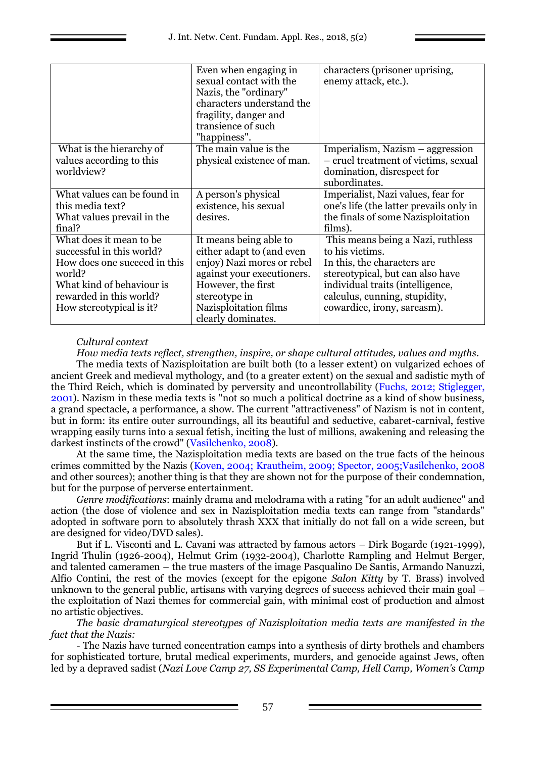|                              | Even when engaging in      | characters (prisoner uprising,          |
|------------------------------|----------------------------|-----------------------------------------|
|                              | sexual contact with the    | enemy attack, etc.).                    |
|                              | Nazis, the "ordinary"      |                                         |
|                              | characters understand the  |                                         |
|                              | fragility, danger and      |                                         |
|                              | transience of such         |                                         |
|                              | "happiness".               |                                         |
| What is the hierarchy of     | The main value is the      | Imperialism, Nazism – aggression        |
| values according to this     | physical existence of man. | - cruel treatment of victims, sexual    |
| worldview?                   |                            | domination, disrespect for              |
|                              |                            | subordinates.                           |
| What values can be found in  | A person's physical        | Imperialist, Nazi values, fear for      |
| this media text?             | existence, his sexual      | one's life (the latter prevails only in |
| What values prevail in the   | desires.                   | the finals of some Nazisploitation      |
| final?                       |                            | films).                                 |
| What does it mean to be      | It means being able to     | This means being a Nazi, ruthless       |
| successful in this world?    | either adapt to (and even  | to his victims.                         |
| How does one succeed in this | enjoy) Nazi mores or rebel | In this, the characters are.            |
| world?                       | against your executioners. | stereotypical, but can also have        |
| What kind of behaviour is    | However, the first         | individual traits (intelligence,        |
| rewarded in this world?      | stereotype in              | calculus, cunning, stupidity,           |
| How stereotypical is it?     | Nazisploitation films      | cowardice, irony, sarcasm).             |
|                              | clearly dominates.         |                                         |

# *Cultural context*

*How media texts reflect, strengthen, inspire, or shape cultural attitudes, values and myths.*

The media texts of Nazisploitation are built both (to a lesser extent) on vulgarized echoes of ancient Greek and medieval mythology, and (to a greater extent) on the sexual and sadistic myth of the Third Reich, which is dominated by perversity and uncontrollability (Fuchs, 2012; Stiglegger, 2001). Nazism in these media texts is "not so much a political doctrine as a kind of show business, a grand spectacle, a performance, a show. The current "attractiveness" of Nazism is not in content, but in form: its entire outer surroundings, all its beautiful and seductive, cabaret-carnival, festive wrapping easily turns into a sexual fetish, inciting the lust of millions, awakening and releasing the darkest instincts of the crowd" (Vasilchenko, 2008).

At the same time, the Nazisploitation media texts are based on the true facts of the heinous crimes committed by the Nazis (Koven, 2004; Krautheim, 2009; Spector, 2005;Vasilchenko, 2008 and other sources); another thing is that they are shown not for the purpose of their condemnation, but for the purpose of perverse entertainment.

*Genre modifications*: mainly drama and melodrama with a rating "for an adult audience" and action (the dose of violence and sex in Nazisploitation media texts can range from "standards" adopted in software porn to absolutely thrash XXX that initially do not fall on a wide screen, but are designed for video/DVD sales).

But if L. Visconti and L. Cavani was attracted by famous actors – Dirk Bogarde (1921-1999), Ingrid Thulin (1926-2004), Helmut Grim (1932-2004), Charlotte Rampling and Helmut Berger, and talented cameramen – the true masters of the image Pasqualino De Santis, Armando Nanuzzi, Alfio Contini, the rest of the movies (except for the epigone *Salon Kitty* by T. Brass) involved unknown to the general public, artisans with varying degrees of success achieved their main goal – the exploitation of Nazi themes for commercial gain, with minimal cost of production and almost no artistic objectives.

*The basic dramaturgical stereotypes of Nazisploitation media texts are manifested in the fact that the Nazis:*

- The Nazis have turned concentration camps into a synthesis of dirty brothels and chambers for sophisticated torture, brutal medical experiments, murders, and genocide against Jews, often led by a depraved sadist (*Nazi Love Camp 27, SS Experimental Camp, Hell Camp, Women's Camp*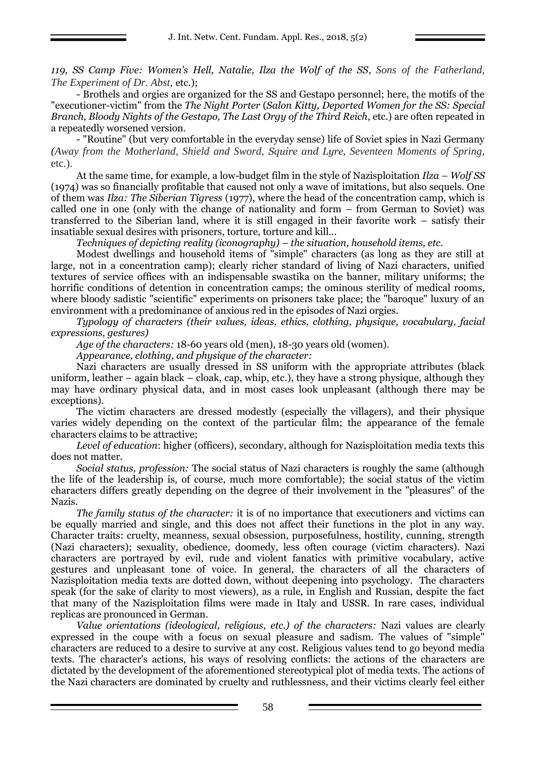*119, SS Camp Five: Women's Hell, Natalie, Ilza the Wolf of the SS*, *Sons of the Fatherland, The Experiment of Dr. Abst,* etc.);

- Brothels and orgies are organized for the SS and Gestapo personnel; here, the motifs of the "executioner-victim" from the *The Night Porter* (*Salon Kitty, Deported Women for the SS: Special Branch, Bloody Nights of the Gestapo, The Last Orgy of the Third Reich*, etc.) are often repeated in a repeatedly worsened version.

- "Routine" (but very comfortable in the everyday sense) life of Soviet spies in Nazi Germany *(Away from the Motherland, Shield and Sword, Squire and Lyre, Seventeen Moments of Spring,*  etc*.*).

At the same time, for example, a low-budget film in the style of Nazisploitation *Ilza – Wolf SS* (1974) was so financially profitable that caused not only a wave of imitations, but also sequels. One of them was *Ilza: The Siberian Tigress* (1977), where the head of the concentration camp, which is called one in one (only with the change of nationality and form – from German to Soviet) was transferred to the Siberian land, where it is still engaged in their favorite work – satisfy their insatiable sexual desires with prisoners, torture, torture and kill...

*Techniques of depicting reality (iconography) – the situation, household items, etc.*

Modest dwellings and household items of "simple" characters (as long as they are still at large, not in a concentration camp); clearly richer standard of living of Nazi characters, unified textures of service offices with an indispensable swastika on the banner, military uniforms; the horrific conditions of detention in concentration camps; the ominous sterility of medical rooms, where bloody sadistic "scientific" experiments on prisoners take place; the "baroque" luxury of an environment with a predominance of anxious red in the episodes of Nazi orgies.

*Typology of characters (their values, ideas, ethics, clothing, physique, vocabulary, facial expressions, gestures)*

*Age of the characters:* 18-60 years old (men), 18-30 years old (women).

*Appearance, clothing, and physique of the character:* 

Nazi characters are usually dressed in SS uniform with the appropriate attributes (black uniform, leather – again black – cloak, cap, whip, etc.), they have a strong physique, although they may have ordinary physical data, and in most cases look unpleasant (although there may be exceptions).

The victim characters are dressed modestly (especially the villagers), and their physique varies widely depending on the context of the particular film; the appearance of the female characters claims to be attractive;

*Level of education*: higher (officers), secondary, although for Nazisploitation media texts this does not matter.

*Social status, profession:* The social status of Nazi characters is roughly the same (although the life of the leadership is, of course, much more comfortable); the social status of the victim characters differs greatly depending on the degree of their involvement in the "pleasures" of the Nazis.

*The family status of the character:* it is of no importance that executioners and victims can be equally married and single, and this does not affect their functions in the plot in any way. Character traits: cruelty, meanness, sexual obsession, purposefulness, hostility, cunning, strength (Nazi characters); sexuality, obedience, doomedy, less often courage (victim characters). Nazi characters are portrayed by evil, rude and violent fanatics with primitive vocabulary, active gestures and unpleasant tone of voice. In general, the characters of all the characters of Nazisploitation media texts are dotted down, without deepening into psychology. The characters speak (for the sake of clarity to most viewers), as a rule, in English and Russian, despite the fact that many of the Nazisploitation films were made in Italy and USSR. In rare cases, individual replicas are pronounced in German.

*Value orientations (ideological, religious, etc.) of the characters:* Nazi values are clearly expressed in the coupe with a focus on sexual pleasure and sadism. The values of "simple" characters are reduced to a desire to survive at any cost. Religious values tend to go beyond media texts. The character's actions, his ways of resolving conflicts: the actions of the characters are dictated by the development of the aforementioned stereotypical plot of media texts. The actions of the Nazi characters are dominated by cruelty and ruthlessness, and their victims clearly feel either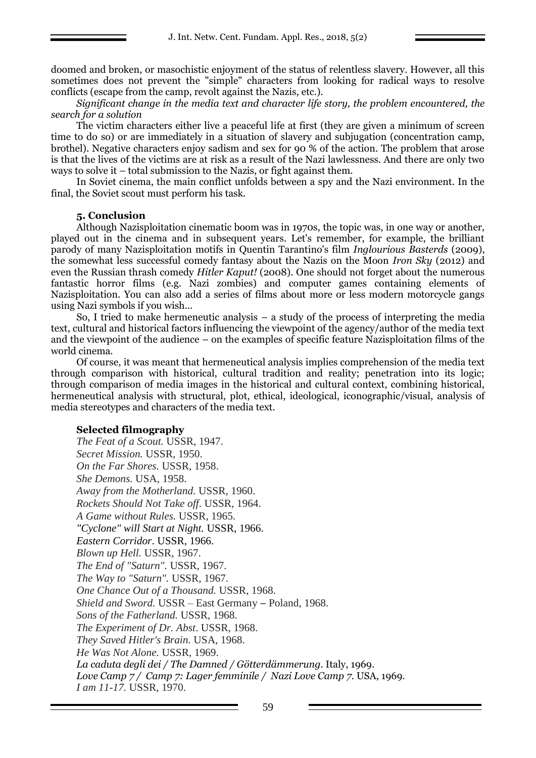doomed and broken, or masochistic enjoyment of the status of relentless slavery. However, all this sometimes does not prevent the "simple" characters from looking for radical ways to resolve conflicts (escape from the camp, revolt against the Nazis, etc.).

*Significant change in the media text and character life story, the problem encountered, the search for a solution*

The victim characters either live a peaceful life at first (they are given a minimum of screen time to do so) or are immediately in a situation of slavery and subjugation (concentration camp, brothel). Negative characters enjoy sadism and sex for 90 % of the action. The problem that arose is that the lives of the victims are at risk as a result of the Nazi lawlessness. And there are only two ways to solve it – total submission to the Nazis, or fight against them.

In Soviet cinema, the main conflict unfolds between a spy and the Nazi environment. In the final, the Soviet scout must perform his task.

#### **5. Conclusion**

Although Nazisploitation cinematic boom was in 1970s, the topic was, in one way or another, played out in the cinema and in subsequent years. Let's remember, for example, the brilliant parody of many Nazisploitation motifs in Quentin Tarantino's film *Inglourious Basterds* (2009), the somewhat less successful comedy fantasy about the Nazis on the Moon *Iron Sky* (2012) and even the Russian thrash comedy *Hitler Kaput!* (2008). One should not forget about the numerous fantastic horror films (e.g. Nazi zombies) and computer games containing elements of Nazisploitation. You can also add a series of films about more or less modern motorcycle gangs using Nazi symbols if you wish...

So, I tried to make hermeneutic analysis – a study of the process of interpreting the media text, cultural and historical factors influencing the viewpoint of the agency/author of the media text and the viewpoint of the audience – on the examples of specific feature Nazisploitation films of the world cinema.

Of course, it was meant that hermeneutical analysis implies comprehension of the media text through comparison with historical, cultural tradition and reality; penetration into its logic; through comparison of media images in the historical and cultural context, combining historical, hermeneutical analysis with structural, plot, ethical, ideological, iconographic/visual, analysis of media stereotypes and characters of the media text.

#### **Selected filmography**

*The Feat of a Scout.* USSR, 1947. *Secret Mission.* USSR, 1950. *On the Far Shores.* USSR, 1958. *She Demons.* USA, 1958. *Away from the Motherland.* USSR, 1960. *Rockets Should Not Take off*. USSR, 1964. *A Game without Rules.* USSR, 1965. *"Cyclone" will Start at Night.* USSR, 1966. *Eastern Corridor*. USSR, 1966. *Blown up Hell.* USSR, 1967. *The End of "Saturn".* USSR, 1967. *The Way to "Saturn".* USSR, 1967. *One Chance Out of a Thousand.* USSR, 1968. *Shield and Sword.* USSR – East Germany – Poland, 1968. *Sons of the Fatherland.* USSR, 1968. *The Experiment of Dr. Abst*. USSR, 1968. *They Saved Hitler's Brain.* USA, 1968. *He Was Not Alone.* USSR, 1969. *La caduta degli dei / The Damned / Götterdämmerung.* Italy, 1969. *Love Camp 7 / Camp 7: Lager femminile / Nazi Love Camp 7.* USA, 1969. *I am 11-17.* USSR, 1970.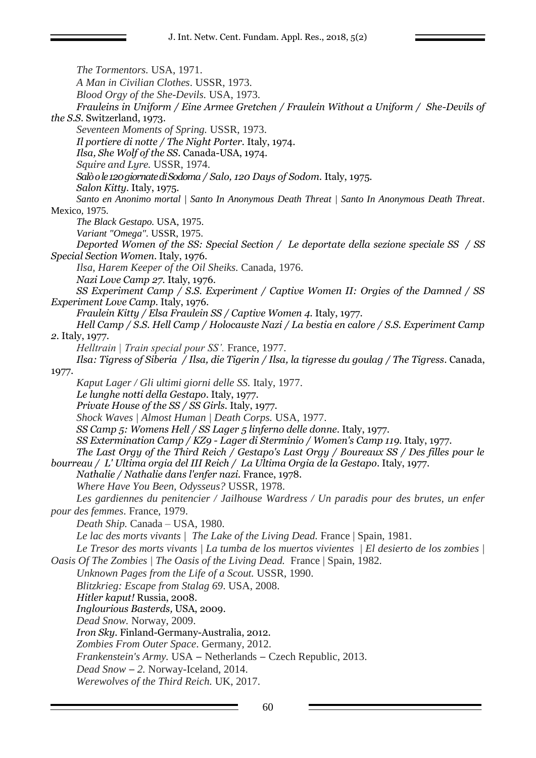*The Tormentors.* USA, 1971. *A Man in Civilian Clothes*. USSR, 1973. *Blood Orgy of the She-Devils.* USA, 1973. *Frauleins in Uniform / Eine Armee Gretchen / Fraulein Without a Uniform / She-Devils of the S.S.* Switzerland, 1973. *Seventeen Moments of Spring.* USSR, 1973. *Il portiere di notte / The Night Porter.* Italy, 1974. *Ilsa, She Wolf of the SS.* Canada-USA, 1974. *Squire and Lyre.* USSR, 1974. *[Salò o le 120 giornate di Sodoma](http://www.imdb.com/title/tt0073650/) / Salo, 120 Days of Sodom.* Italy, 1975. *Salon Kitty.* Italy, 1975. *Santo en Anonimo mortal | Santo In Anonymous Death Threat | Santo In Anonymous Death Threat*. Mexico, 1975. *The Black Gestapo.* USA, 1975. *Variant "Omega".* USSR, 1975. *Deported Women of the SS: Special Section / Le deportate della sezione speciale SS / SS Special Section Women*. Italy, 1976. *Ilsa, Harem Keeper of the Oil Sheiks.* Canada, 1976. *Nazi Love Camp 27.* Italy, 1976. *SS Experiment Camp / S.S. Experiment / Captive Women II: Orgies of the Damned / SS Experiment Love Camp.* Italy, 1976. *Fraulein Kitty / Elsa Fraulein SS / Captive Women 4.* Italy, 1977. *Hell Camp / S.S. Hell Camp / Holocauste Nazi / La bestia en calore / S.S. Experiment Camp 2.* Italy, 1977. *Helltrain | Train special pour SS'.* France, 1977. *Ilsa: Tigress of Siberia / Ilsa, die Tigerin / Ilsa, la tigresse du goulag / The Tigress*. Canada, 1977. *Kaput Lager / Gli ultimi giorni delle SS.* Italy, 1977. *Le lunghe notti della Gestapo*. Italy, 1977. *Private House of the SS / SS Girls.* Italy, 1977. *Shock Waves | Almost Human | Death Corps.* USA, 1977. *SS Camp 5: Womens Hell / SS Lager 5 linferno delle donne*. Italy, 1977. *SS Extermination Camp / KZ9 - Lager di Sterminio / Women's Camp 119.* Italy, 1977. *The Last Orgy of the Third Reich / Gestapo's Last Orgy / Boureaux SS / Des filles pour le bourreau / L' Ultima orgia del III Reich / La Ultima Orgia de la Gestapo*. Italy, 1977. *Nathalie / Nathalie dans l'enfer nazi.* France, 1978. *Where Have You Been, Odysseus?* USSR, 1978. *Les gardiennes du penitencier / Jailhouse Wardress / Un paradis pour des brutes, un enfer pour des femmes*. France, 1979. *Death Ship.* Canada – USA, 1980. *Le lac des morts vivants | The Lake of the Living Dead.* France | Spain, 1981. *Le Tresor des morts vivants | La tumba de los muertos vivientes | El desierto de los zombies | Oasis Of The Zombies | The Oasis of the Living Dead.* France | Spain, 1982. *Unknown Pages from the Life of a Scout.* USSR, 1990. *Blitzkrieg: Escape from Stalag 69*. USA, 2008. *Hitler kaput!* Russia, 2008. *Inglourious Basterds,* USA, 2009. *Dead Snow.* Norway, 2009. *Iron Sky.* Finland-Germany-Australia, 2012. *Zombies From Outer Space*. Germany, 2012. *Frankenstein's Army.* USA – Netherlands – Czech Republic, 2013. *Dead Snow* – *2.* Norway-Iceland, 2014. *Werewolves of the Third Reich.* UK, 2017.